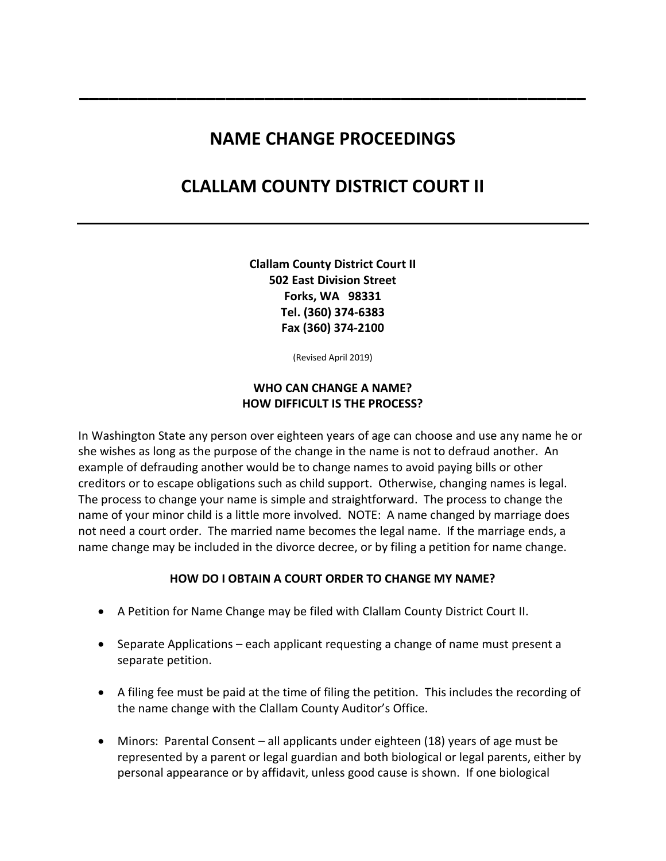## **NAME CHANGE PROCEEDINGS**

**\_\_\_\_\_\_\_\_\_\_\_\_\_\_\_\_\_\_\_\_\_\_\_\_\_\_\_\_\_\_\_\_\_\_\_\_\_\_\_\_\_\_\_\_\_\_\_\_\_\_\_\_** 

# **CLALLAM COUNTY DISTRICT COURT II**

**Clallam County District Court II 502 East Division Street Forks, WA 98331 Tel. (360) 374-6383 Fax (360) 374-2100** 

(Revised April 2019)

### **WHO CAN CHANGE A NAME? HOW DIFFICULT IS THE PROCESS?**

In Washington State any person over eighteen years of age can choose and use any name he or she wishes as long as the purpose of the change in the name is not to defraud another. An example of defrauding another would be to change names to avoid paying bills or other creditors or to escape obligations such as child support. Otherwise, changing names is legal. The process to change your name is simple and straightforward. The process to change the name of your minor child is a little more involved. NOTE: A name changed by marriage does not need a court order. The married name becomes the legal name. If the marriage ends, a name change may be included in the divorce decree, or by filing a petition for name change.

#### **HOW DO I OBTAIN A COURT ORDER TO CHANGE MY NAME?**

- A Petition for Name Change may be filed with Clallam County District Court II.
- Separate Applications each applicant requesting a change of name must present a separate petition.
- A filing fee must be paid at the time of filing the petition. This includes the recording of the name change with the Clallam County Auditor's Office.
- Minors: Parental Consent all applicants under eighteen (18) years of age must be represented by a parent or legal guardian and both biological or legal parents, either by personal appearance or by affidavit, unless good cause is shown. If one biological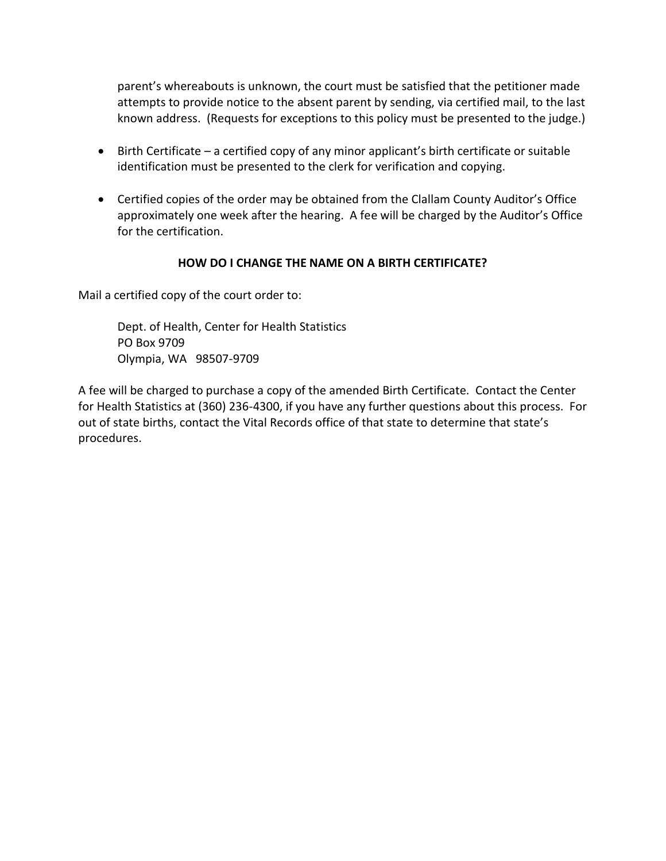parent's whereabouts is unknown, the court must be satisfied that the petitioner made attempts to provide notice to the absent parent by sending, via certified mail, to the last known address. (Requests for exceptions to this policy must be presented to the judge.)

- Birth Certificate a certified copy of any minor applicant's birth certificate or suitable identification must be presented to the clerk for verification and copying.
- Certified copies of the order may be obtained from the Clallam County Auditor's Office approximately one week after the hearing. A fee will be charged by the Auditor's Office for the certification.

## **HOW DO I CHANGE THE NAME ON A BIRTH CERTIFICATE?**

Mail a certified copy of the court order to:

Dept. of Health, Center for Health Statistics PO Box 9709 Olympia, WA 98507-9709

A fee will be charged to purchase a copy of the amended Birth Certificate. Contact the Center for Health Statistics at (360) 236-4300, if you have any further questions about this process. For out of state births, contact the Vital Records office of that state to determine that state's procedures.